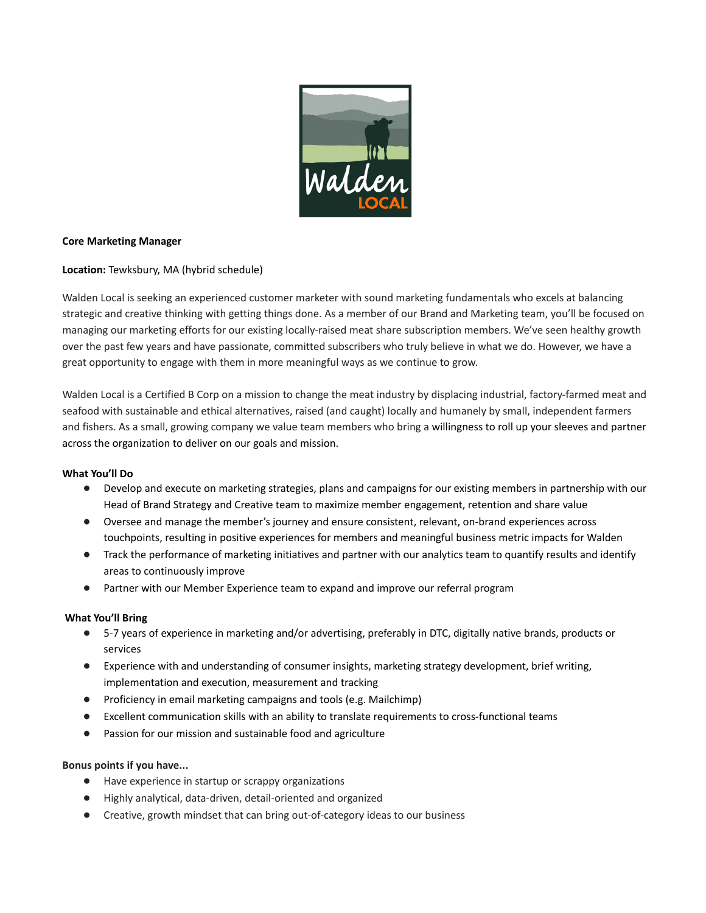

## **Core Marketing Manager**

**Location:** Tewksbury, MA (hybrid schedule)

Walden Local is seeking an experienced customer marketer with sound marketing fundamentals who excels at balancing strategic and creative thinking with getting things done. As a member of our Brand and Marketing team, you'll be focused on managing our marketing efforts for our existing locally-raised meat share subscription members. We've seen healthy growth over the past few years and have passionate, committed subscribers who truly believe in what we do. However, we have a great opportunity to engage with them in more meaningful ways as we continue to grow.

Walden Local is a Certified B Corp on a mission to change the meat industry by displacing industrial, factory-farmed meat and seafood with sustainable and ethical alternatives, raised (and caught) locally and humanely by small, independent farmers and fishers. As a small, growing company we value team members who bring a willingness to roll up your sleeves and partner across the organization to deliver on our goals and mission.

### **What You'll Do**

- Develop and execute on marketing strategies, plans and campaigns for our existing members in partnership with our Head of Brand Strategy and Creative team to maximize member engagement, retention and share value
- Oversee and manage the member's journey and ensure consistent, relevant, on-brand experiences across touchpoints, resulting in positive experiences for members and meaningful business metric impacts for Walden
- Track the performance of marketing initiatives and partner with our analytics team to quantify results and identify areas to continuously improve
- Partner with our Member Experience team to expand and improve our referral program

## **What You'll Bring**

- 5-7 years of experience in marketing and/or advertising, preferably in DTC, digitally native brands, products or services
- Experience with and understanding of consumer insights, marketing strategy development, brief writing, implementation and execution, measurement and tracking
- Proficiency in email marketing campaigns and tools (e.g. Mailchimp)
- Excellent communication skills with an ability to translate requirements to cross-functional teams
- Passion for our mission and sustainable food and agriculture

## **Bonus points if you have...**

- Have experience in startup or scrappy organizations
- Highly analytical, data-driven, detail-oriented and organized
- Creative, growth mindset that can bring out-of-category ideas to our business